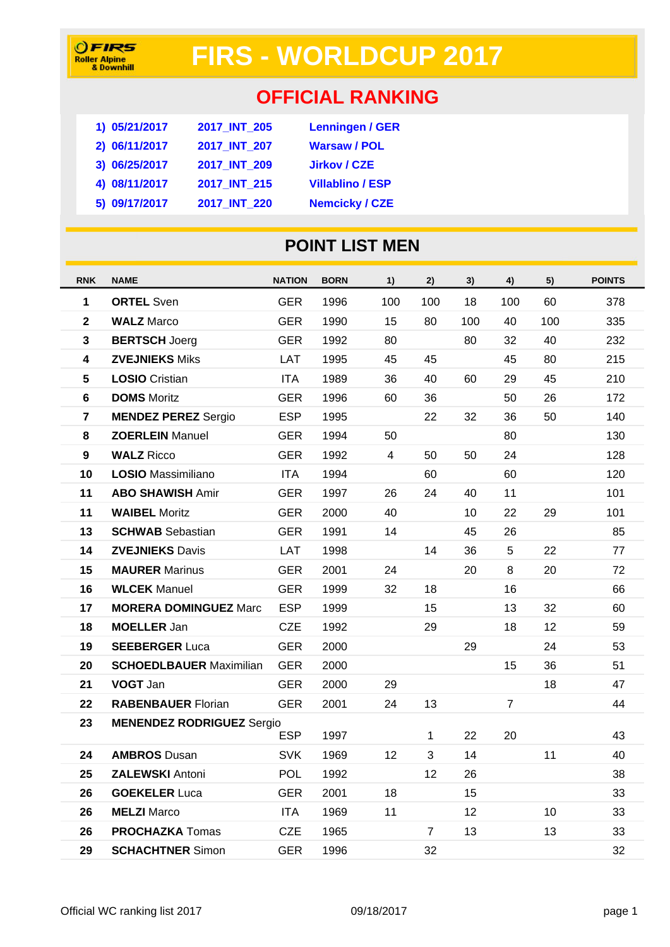## **FIRS - WORLDCUP 2017**

### **OFFICIAL RANKING**

| 1) 05/21/2017 | 2017 INT 205 | <b>Lenningen / GER</b>  |
|---------------|--------------|-------------------------|
| 2) 06/11/2017 | 2017 INT 207 | <b>Warsaw / POL</b>     |
| 3) 06/25/2017 | 2017 INT 209 | <b>Jirkov / CZE</b>     |
| 4) 08/11/2017 | 2017_INT_215 | <b>Villablino / ESP</b> |
| 5) 09/17/2017 | 2017 INT 220 | <b>Nemcicky / CZE</b>   |

#### **POINT LIST MEN**

| <b>RNK</b>              | <b>NAME</b>                      | <b>NATION</b> | <b>BORN</b> | 1)                      | 2)             | 3)  | 4)             | 5)  | <b>POINTS</b> |
|-------------------------|----------------------------------|---------------|-------------|-------------------------|----------------|-----|----------------|-----|---------------|
| 1                       | <b>ORTEL Sven</b>                | <b>GER</b>    | 1996        | 100                     | 100            | 18  | 100            | 60  | 378           |
| $\overline{\mathbf{2}}$ | <b>WALZ Marco</b>                | <b>GER</b>    | 1990        | 15                      | 80             | 100 | 40             | 100 | 335           |
| 3                       | <b>BERTSCH Joerg</b>             | <b>GER</b>    | 1992        | 80                      |                | 80  | 32             | 40  | 232           |
| 4                       | <b>ZVEJNIEKS Miks</b>            | <b>LAT</b>    | 1995        | 45                      | 45             |     | 45             | 80  | 215           |
| $5\phantom{1}$          | <b>LOSIO</b> Cristian            | <b>ITA</b>    | 1989        | 36                      | 40             | 60  | 29             | 45  | 210           |
| 6                       | <b>DOMS</b> Moritz               | <b>GER</b>    | 1996        | 60                      | 36             |     | 50             | 26  | 172           |
| $\overline{\mathbf{7}}$ | <b>MENDEZ PEREZ Sergio</b>       | <b>ESP</b>    | 1995        |                         | 22             | 32  | 36             | 50  | 140           |
| 8                       | <b>ZOERLEIN Manuel</b>           | <b>GER</b>    | 1994        | 50                      |                |     | 80             |     | 130           |
| $\boldsymbol{9}$        | <b>WALZ Ricco</b>                | <b>GER</b>    | 1992        | $\overline{\mathbf{4}}$ | 50             | 50  | 24             |     | 128           |
| 10                      | LOSIO Massimiliano               | <b>ITA</b>    | 1994        |                         | 60             |     | 60             |     | 120           |
| 11                      | <b>ABO SHAWISH Amir</b>          | <b>GER</b>    | 1997        | 26                      | 24             | 40  | 11             |     | 101           |
| 11                      | <b>WAIBEL Moritz</b>             | <b>GER</b>    | 2000        | 40                      |                | 10  | 22             | 29  | 101           |
| 13                      | <b>SCHWAB</b> Sebastian          | <b>GER</b>    | 1991        | 14                      |                | 45  | 26             |     | 85            |
| 14                      | <b>ZVEJNIEKS Davis</b>           | LAT           | 1998        |                         | 14             | 36  | 5              | 22  | 77            |
| 15                      | <b>MAURER Marinus</b>            | <b>GER</b>    | 2001        | 24                      |                | 20  | 8              | 20  | 72            |
| 16                      | <b>WLCEK Manuel</b>              | <b>GER</b>    | 1999        | 32                      | 18             |     | 16             |     | 66            |
| 17                      | <b>MORERA DOMINGUEZ Marc</b>     | <b>ESP</b>    | 1999        |                         | 15             |     | 13             | 32  | 60            |
| 18                      | <b>MOELLER Jan</b>               | <b>CZE</b>    | 1992        |                         | 29             |     | 18             | 12  | 59            |
| 19                      | <b>SEEBERGER Luca</b>            | <b>GER</b>    | 2000        |                         |                | 29  |                | 24  | 53            |
| 20                      | <b>SCHOEDLBAUER Maximilian</b>   | <b>GER</b>    | 2000        |                         |                |     | 15             | 36  | 51            |
| 21                      | <b>VOGT Jan</b>                  | <b>GER</b>    | 2000        | 29                      |                |     |                | 18  | 47            |
| 22                      | <b>RABENBAUER Florian</b>        | <b>GER</b>    | 2001        | 24                      | 13             |     | $\overline{7}$ |     | 44            |
| 23                      | <b>MENENDEZ RODRIGUEZ Sergio</b> | <b>ESP</b>    | 1997        |                         | 1              | 22  | 20             |     | 43            |
| 24                      | <b>AMBROS Dusan</b>              | <b>SVK</b>    | 1969        | 12                      | 3              | 14  |                | 11  | 40            |
| 25                      | <b>ZALEWSKI Antoni</b>           | <b>POL</b>    | 1992        |                         | 12             | 26  |                |     | 38            |
| 26                      | <b>GOEKELER Luca</b>             | <b>GER</b>    | 2001        | 18                      |                | 15  |                |     | 33            |
| 26                      | <b>MELZI</b> Marco               | <b>ITA</b>    | 1969        | 11                      |                | 12  |                | 10  | 33            |
| 26                      | <b>PROCHAZKA</b> Tomas           | CZE           | 1965        |                         | $\overline{7}$ | 13  |                | 13  | 33            |
| 29                      | <b>SCHACHTNER Simon</b>          | <b>GER</b>    | 1996        |                         | 32             |     |                |     | 32            |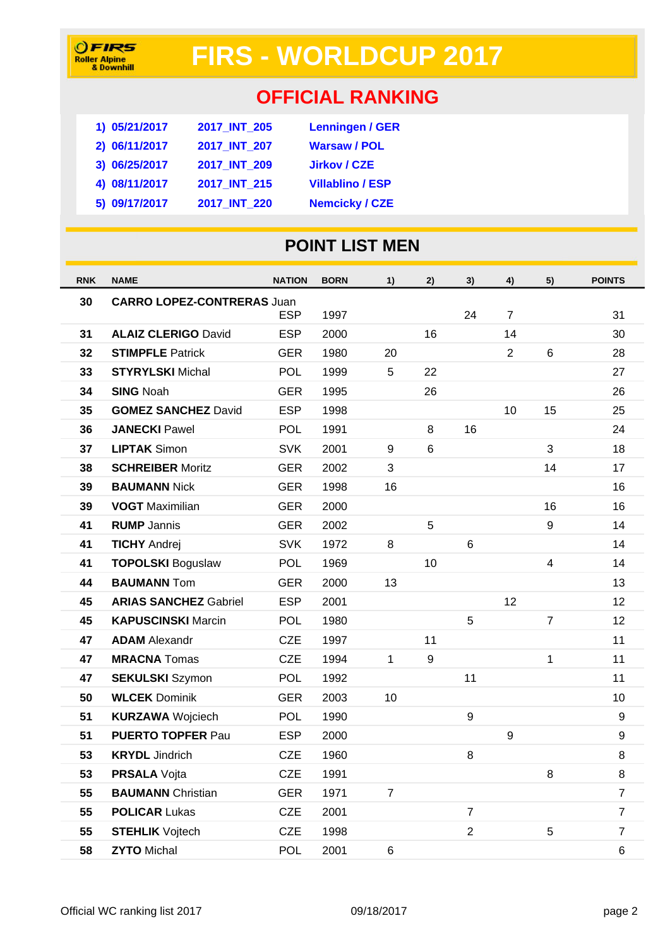# **FIRS - WORLDCUP 2017**

### **OFFICIAL RANKING**

| 2017 INT 205 | <b>Lenningen / GER</b>  |
|--------------|-------------------------|
| 2017 INT 207 | <b>Warsaw / POL</b>     |
| 2017 INT 209 | <b>Jirkov / CZE</b>     |
| 2017 INT 215 | <b>Villablino / ESP</b> |
| 2017 INT 220 | <b>Nemcicky / CZE</b>   |
|              |                         |

#### **POINT LIST MEN**

| <b>RNK</b> | <b>NAME</b>                       | <b>NATION</b> | <b>BORN</b> | 1)             | 2)             | 3)             | 4)               | 5)             | <b>POINTS</b>  |
|------------|-----------------------------------|---------------|-------------|----------------|----------------|----------------|------------------|----------------|----------------|
| 30         | <b>CARRO LOPEZ-CONTRERAS Juan</b> |               |             |                |                |                |                  |                |                |
|            |                                   | <b>ESP</b>    | 1997        |                |                | 24             | 7                |                | 31             |
| 31         | <b>ALAIZ CLERIGO David</b>        | <b>ESP</b>    | 2000        |                | 16             |                | 14               |                | 30             |
| 32         | <b>STIMPFLE Patrick</b>           | <b>GER</b>    | 1980        | 20             |                |                | $\overline{2}$   | 6              | 28             |
| 33         | <b>STYRYLSKI</b> Michal           | <b>POL</b>    | 1999        | 5              | 22             |                |                  |                | 27             |
| 34         | <b>SING Noah</b>                  | <b>GER</b>    | 1995        |                | 26             |                |                  |                | 26             |
| 35         | <b>GOMEZ SANCHEZ David</b>        | <b>ESP</b>    | 1998        |                |                |                | 10               | 15             | 25             |
| 36         | <b>JANECKI Pawel</b>              | <b>POL</b>    | 1991        |                | 8              | 16             |                  |                | 24             |
| 37         | <b>LIPTAK Simon</b>               | <b>SVK</b>    | 2001        | 9              | $6\phantom{1}$ |                |                  | 3              | 18             |
| 38         | <b>SCHREIBER Moritz</b>           | <b>GER</b>    | 2002        | 3              |                |                |                  | 14             | 17             |
| 39         | <b>BAUMANN Nick</b>               | <b>GER</b>    | 1998        | 16             |                |                |                  |                | 16             |
| 39         | <b>VOGT</b> Maximilian            | <b>GER</b>    | 2000        |                |                |                |                  | 16             | 16             |
| 41         | <b>RUMP</b> Jannis                | <b>GER</b>    | 2002        |                | 5              |                |                  | 9              | 14             |
| 41         | <b>TICHY Andrej</b>               | <b>SVK</b>    | 1972        | 8              |                | 6              |                  |                | 14             |
| 41         | <b>TOPOLSKI Boguslaw</b>          | <b>POL</b>    | 1969        |                | 10             |                |                  | $\overline{4}$ | 14             |
| 44         | <b>BAUMANN Tom</b>                | <b>GER</b>    | 2000        | 13             |                |                |                  |                | 13             |
| 45         | <b>ARIAS SANCHEZ Gabriel</b>      | <b>ESP</b>    | 2001        |                |                |                | 12               |                | 12             |
| 45         | <b>KAPUSCINSKI Marcin</b>         | <b>POL</b>    | 1980        |                |                | 5              |                  | $\overline{7}$ | 12             |
| 47         | <b>ADAM</b> Alexandr              | <b>CZE</b>    | 1997        |                | 11             |                |                  |                | 11             |
| 47         | <b>MRACNA</b> Tomas               | <b>CZE</b>    | 1994        | $\mathbf{1}$   | 9              |                |                  | $\mathbf{1}$   | 11             |
| 47         | <b>SEKULSKI</b> Szymon            | <b>POL</b>    | 1992        |                |                | 11             |                  |                | 11             |
| 50         | <b>WLCEK Dominik</b>              | <b>GER</b>    | 2003        | 10             |                |                |                  |                | 10             |
| 51         | <b>KURZAWA Wojciech</b>           | <b>POL</b>    | 1990        |                |                | 9              |                  |                | 9              |
| 51         | <b>PUERTO TOPFER Pau</b>          | <b>ESP</b>    | 2000        |                |                |                | $\boldsymbol{9}$ |                | 9              |
| 53         | <b>KRYDL</b> Jindrich             | <b>CZE</b>    | 1960        |                |                | 8              |                  |                | 8              |
| 53         | <b>PRSALA</b> Vojta               | <b>CZE</b>    | 1991        |                |                |                |                  | 8              | 8              |
| 55         | <b>BAUMANN</b> Christian          | <b>GER</b>    | 1971        | $\overline{7}$ |                |                |                  |                | $\overline{7}$ |
| 55         | <b>POLICAR Lukas</b>              | <b>CZE</b>    | 2001        |                |                | $\overline{7}$ |                  |                | $\overline{7}$ |
| 55         | <b>STEHLIK</b> Vojtech            | <b>CZE</b>    | 1998        |                |                | $\overline{2}$ |                  | 5              | $\overline{7}$ |
| 58         | <b>ZYTO Michal</b>                | POL           | 2001        | 6              |                |                |                  |                | 6              |